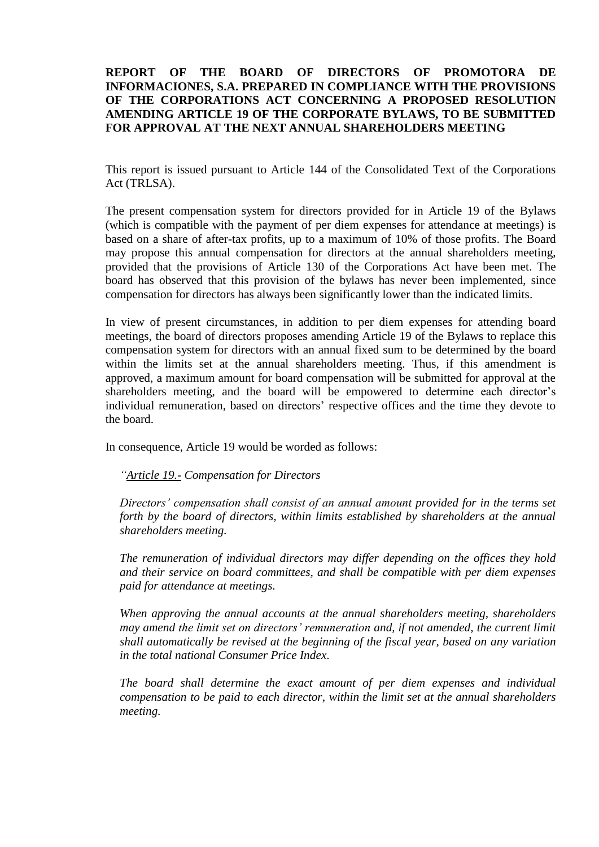## **REPORT OF THE BOARD OF DIRECTORS OF PROMOTORA DE INFORMACIONES, S.A. PREPARED IN COMPLIANCE WITH THE PROVISIONS OF THE CORPORATIONS ACT CONCERNING A PROPOSED RESOLUTION AMENDING ARTICLE 19 OF THE CORPORATE BYLAWS, TO BE SUBMITTED FOR APPROVAL AT THE NEXT ANNUAL SHAREHOLDERS MEETING**

This report is issued pursuant to Article 144 of the Consolidated Text of the Corporations Act (TRLSA).

The present compensation system for directors provided for in Article 19 of the Bylaws (which is compatible with the payment of per diem expenses for attendance at meetings) is based on a share of after-tax profits, up to a maximum of 10% of those profits. The Board may propose this annual compensation for directors at the annual shareholders meeting, provided that the provisions of Article 130 of the Corporations Act have been met. The board has observed that this provision of the bylaws has never been implemented, since compensation for directors has always been significantly lower than the indicated limits.

In view of present circumstances, in addition to per diem expenses for attending board meetings, the board of directors proposes amending Article 19 of the Bylaws to replace this compensation system for directors with an annual fixed sum to be determined by the board within the limits set at the annual shareholders meeting. Thus, if this amendment is approved, a maximum amount for board compensation will be submitted for approval at the shareholders meeting, and the board will be empowered to determine each director's individual remuneration, based on directors' respective offices and the time they devote to the board.

In consequence, Article 19 would be worded as follows:

*"Article 19.- Compensation for Directors*

*Directors' compensation shall consist of an annual amount provided for in the terms set forth by the board of directors, within limits established by shareholders at the annual shareholders meeting.*

*The remuneration of individual directors may differ depending on the offices they hold and their service on board committees, and shall be compatible with per diem expenses paid for attendance at meetings.*

*When approving the annual accounts at the annual shareholders meeting, shareholders may amend the limit set on directors' remuneration and, if not amended, the current limit shall automatically be revised at the beginning of the fiscal year, based on any variation in the total national Consumer Price Index.*

*The board shall determine the exact amount of per diem expenses and individual compensation to be paid to each director, within the limit set at the annual shareholders meeting.*